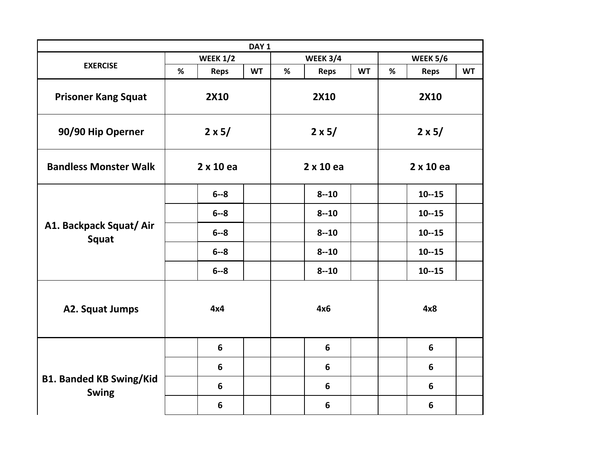| DAY <sub>1</sub>                               |                 |                  |           |                 |                  |               |                 |                  |           |
|------------------------------------------------|-----------------|------------------|-----------|-----------------|------------------|---------------|-----------------|------------------|-----------|
|                                                | <b>WEEK 1/2</b> |                  |           | <b>WEEK 3/4</b> |                  |               | <b>WEEK 5/6</b> |                  |           |
| <b>EXERCISE</b>                                | %               | <b>Reps</b>      | <b>WT</b> | %               | <b>Reps</b>      | <b>WT</b>     | %               | <b>Reps</b>      | <b>WT</b> |
| <b>Prisoner Kang Squat</b>                     | <b>2X10</b>     |                  |           |                 | <b>2X10</b>      |               | <b>2X10</b>     |                  |           |
| 90/90 Hip Operner                              | $2 \times 5/$   |                  |           | $2 \times 5/$   |                  | $2 \times 5/$ |                 |                  |           |
| <b>Bandless Monster Walk</b>                   |                 | $2 \times 10$ ea |           |                 | $2 \times 10$ ea |               |                 | $2 \times 10$ ea |           |
| A1. Backpack Squat/ Air<br>Squat               |                 | $6 - 8$          |           |                 | $8 - 10$         |               |                 | $10 - 15$        |           |
|                                                |                 | $6 - 8$          |           |                 | $8 - 10$         |               |                 | $10 - 15$        |           |
|                                                |                 | $6 - 8$          |           |                 | $8 - 10$         |               |                 | $10 - 15$        |           |
|                                                |                 | $6 - 8$          |           |                 | $8 - 10$         |               |                 | $10 - 15$        |           |
|                                                |                 | $6 - 8$          |           |                 | $8 - 10$         |               |                 | $10 - 15$        |           |
| A2. Squat Jumps                                |                 | 4x4              |           |                 | 4x6              |               |                 | 4x8              |           |
| <b>B1. Banded KB Swing/Kid</b><br><b>Swing</b> |                 | $6\phantom{1}$   |           |                 | $6\phantom{1}$   |               |                 | 6                |           |
|                                                |                 | $6\phantom{1}6$  |           |                 | 6                |               |                 | 6                |           |
|                                                |                 | 6                |           |                 | 6                |               |                 | 6                |           |
|                                                |                 | $6\phantom{1}6$  |           |                 | 6                |               |                 | 6                |           |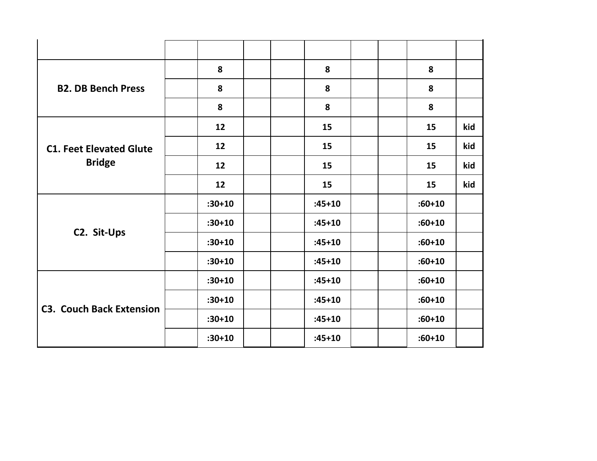| <b>B2. DB Bench Press</b>                       | 8          | 8          | 8          |     |
|-------------------------------------------------|------------|------------|------------|-----|
|                                                 | 8          | 8          | 8          |     |
|                                                 | 8          | 8          | 8          |     |
| <b>C1. Feet Elevated Glute</b><br><b>Bridge</b> | 12         | 15         | 15         | kid |
|                                                 | 12         | 15         | 15         | kid |
|                                                 | 12         | 15         | 15         | kid |
|                                                 | 12         | 15         | 15         | kid |
|                                                 | $:30 + 10$ | $:45 + 10$ | $:60 + 10$ |     |
|                                                 | $:30 + 10$ | $:45 + 10$ | $:60 + 10$ |     |
| C2. Sit-Ups                                     | $:30 + 10$ | $:45 + 10$ | $:60 + 10$ |     |
|                                                 | $:30 + 10$ | $:45 + 10$ | $:60 + 10$ |     |
| <b>C3. Couch Back Extension</b>                 | $:30 + 10$ | $:45 + 10$ | $:60 + 10$ |     |
|                                                 | $:30 + 10$ | $:45 + 10$ | $:60 + 10$ |     |
|                                                 | $:30 + 10$ | $:45 + 10$ | $:60 + 10$ |     |
|                                                 | $:30 + 10$ | $:45 + 10$ | $:60 + 10$ |     |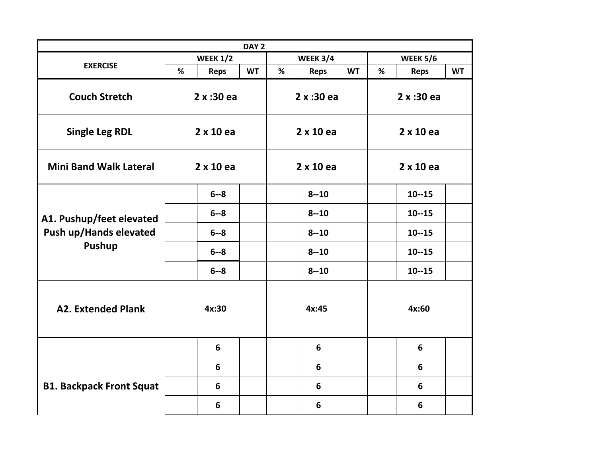|                                                                     |                  |                | DAY <sub>2</sub> |                  |             |                  |                 |                |           |
|---------------------------------------------------------------------|------------------|----------------|------------------|------------------|-------------|------------------|-----------------|----------------|-----------|
|                                                                     | <b>WEEK 1/2</b>  |                |                  | <b>WEEK 3/4</b>  |             |                  | <b>WEEK 5/6</b> |                |           |
| <b>EXERCISE</b>                                                     | %                | <b>Reps</b>    | <b>WT</b>        | %                | <b>Reps</b> | <b>WT</b>        | %               | <b>Reps</b>    | <b>WT</b> |
| <b>Couch Stretch</b>                                                | 2x:30ea          |                |                  | 2x:30ea          |             | 2 x :30 ea       |                 |                |           |
| <b>Single Leg RDL</b>                                               | $2 \times 10$ ea |                |                  | $2 \times 10$ ea |             | $2 \times 10$ ea |                 |                |           |
| <b>Mini Band Walk Lateral</b>                                       | $2 \times 10$ ea |                |                  | $2 \times 10$ ea |             | $2 \times 10$ ea |                 |                |           |
| A1. Pushup/feet elevated<br>Push up/Hands elevated<br><b>Pushup</b> |                  | $6 - 8$        |                  |                  | $8 - 10$    |                  |                 | $10 - 15$      |           |
|                                                                     |                  | $6 - 8$        |                  |                  | $8 - 10$    |                  |                 | $10 - 15$      |           |
|                                                                     |                  | $6 - 8$        |                  |                  | $8 - 10$    |                  |                 | $10 - 15$      |           |
|                                                                     |                  | $6 - 8$        |                  |                  | $8 - 10$    |                  |                 | $10 - 15$      |           |
|                                                                     |                  | $6 - 8$        |                  |                  | $8 - 10$    |                  |                 | $10 - 15$      |           |
| <b>A2. Extended Plank</b>                                           |                  | 4x:30          |                  |                  | 4x:45       |                  |                 | 4x:60          |           |
|                                                                     |                  | $6\phantom{1}$ |                  |                  | 6           |                  |                 | $6\phantom{1}$ |           |
|                                                                     |                  | 6              |                  |                  | 6           |                  |                 | $6\phantom{1}$ |           |
| <b>B1. Backpack Front Squat</b>                                     |                  | $6\phantom{1}$ |                  |                  | 6           |                  |                 | 6              |           |
|                                                                     |                  | 6              |                  |                  | 6           |                  |                 | 6              |           |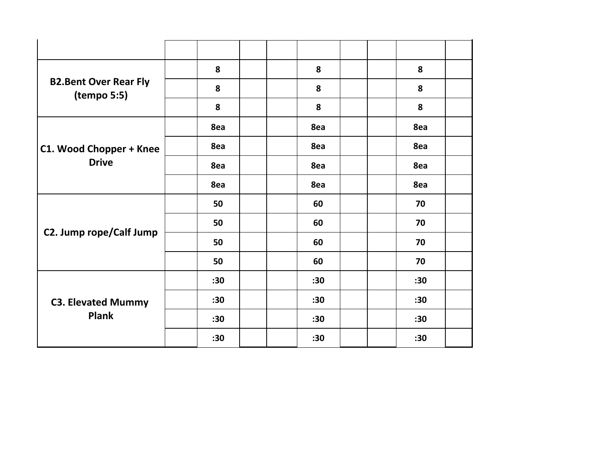| <b>B2.Bent Over Rear Fly</b><br>(tempo 5:5) | 8   | 8   | 8   |  |
|---------------------------------------------|-----|-----|-----|--|
|                                             | 8   | 8   | 8   |  |
|                                             | 8   | 8   | 8   |  |
|                                             | 8ea | 8ea | 8ea |  |
| C1. Wood Chopper + Knee                     | 8ea | 8ea | 8ea |  |
| <b>Drive</b>                                | 8ea | 8ea | 8ea |  |
|                                             | 8ea | 8ea | 8ea |  |
|                                             | 50  | 60  | 70  |  |
|                                             | 50  | 60  | 70  |  |
| C2. Jump rope/Calf Jump                     | 50  | 60  | 70  |  |
|                                             | 50  | 60  | 70  |  |
| <b>C3. Elevated Mummy</b><br><b>Plank</b>   | :30 | :30 | :30 |  |
|                                             | :30 | :30 | :30 |  |
|                                             | :30 | :30 | :30 |  |
|                                             | :30 | :30 | :30 |  |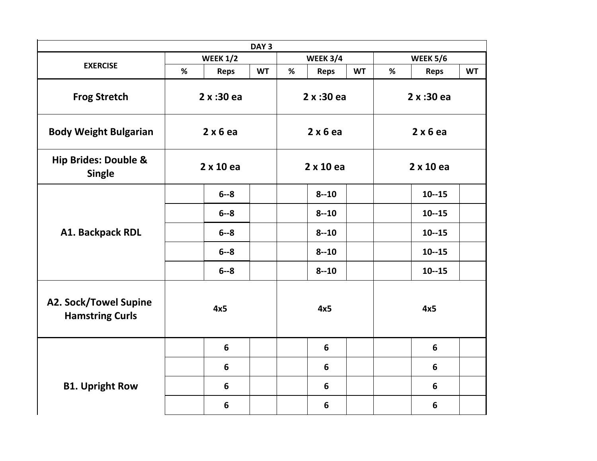|                                                        |                 |             | DAY <sub>3</sub> |                  |                |                  |                 |             |           |
|--------------------------------------------------------|-----------------|-------------|------------------|------------------|----------------|------------------|-----------------|-------------|-----------|
|                                                        | <b>WEEK 1/2</b> |             | <b>WEEK 3/4</b>  |                  |                |                  | <b>WEEK 5/6</b> |             |           |
| <b>EXERCISE</b>                                        | %               | <b>Reps</b> | <b>WT</b>        | %                | <b>Reps</b>    | <b>WT</b>        | %               | <b>Reps</b> | <b>WT</b> |
| <b>Frog Stretch</b>                                    | 2x:30ea         |             |                  | 2x:30ea          |                | 2x:30ea          |                 |             |           |
| <b>Body Weight Bulgarian</b>                           | 2x6ea           |             | 2x6ea            |                  | 2x6ea          |                  |                 |             |           |
| <b>Hip Brides: Double &amp;</b><br><b>Single</b>       | 2 x 10 ea       |             |                  | $2 \times 10$ ea |                | $2 \times 10$ ea |                 |             |           |
|                                                        |                 | $6 - 8$     |                  |                  | $8 - 10$       |                  |                 | $10 - 15$   |           |
| A1. Backpack RDL                                       |                 | $6 - 8$     |                  |                  | $8 - 10$       |                  |                 | $10 - 15$   |           |
|                                                        |                 | $6 - 8$     |                  |                  | $8 - 10$       |                  |                 | $10 - 15$   |           |
|                                                        |                 | $6 - 8$     |                  |                  | $8 - 10$       |                  |                 | $10 - 15$   |           |
|                                                        |                 | $6 - 8$     |                  |                  | $8 - 10$       |                  |                 | $10 - 15$   |           |
| <b>A2. Sock/Towel Supine</b><br><b>Hamstring Curls</b> |                 | 4x5         |                  |                  | 4x5            |                  |                 | 4x5         |           |
|                                                        |                 | 6           |                  |                  | $6\phantom{1}$ |                  |                 | 6           |           |
|                                                        |                 | 6           |                  |                  | 6              |                  |                 | 6           |           |
| <b>B1. Upright Row</b>                                 |                 | 6           |                  |                  | 6              |                  |                 | 6           |           |
|                                                        |                 | 6           |                  |                  | 6              |                  |                 | 6           |           |